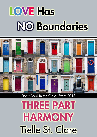# **LOVE Has NO Boundaries**



## Don't Read in the Closet Event 2013

**THREE PART HARMONY Tielle St. Clare**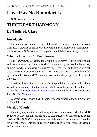# **Love Has No Boundaries**

#### *An M/M Romance series*

# **THREE PART HARMONY By Tielle St. Clare**

#### **Introduction**

The story you are about to read celebrates love, sex and romance between men. It is a product of the *Love Has No Boundaries* promotion sponsored by the *Goodreads M/M Romance Group* and is published as a free gift to you.

### **What Is Love Has No Boundaries?**

The *Goodreads M/M Romance Group* invited members to choose a photo and pen a letter asking for a short M/M romance story inspired by the image; authors from the group were encouraged to select a letter and write an original tale. The result was an outpouring of creativity that shone a spotlight on the special bond between M/M romance writers and the people who love what they do.

A written description of the image that inspired this story is provided along with the original request letter. If you'd like to view the photo, please feel free to join the [Goodreads M/M Romance Group](http://www.goodreads.com/group/show/20149-m-m-romance) and visit the discussion section: *Love Has No Boundaries*.

Whether you are an avid M/M romance reader or new to the genre, you are in for a delicious treat.

### **Words of Caution**

This story may contain sexually explicit content and is **intended for adult readers.** It may contain content that is disagreeable or distressing to some readers. The *M/M Romance Group* strongly recommends that each reader review the General Information section before each story for story tags as well as for content warnings.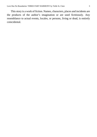This story is a work of fiction. Names, characters, places and incidents are the products of the author's imagination or are used fictitiously. Any resemblance to actual events, locales, or persons, living or dead, is entirely coincidental.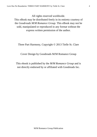All rights reserved worldwide.

This eBook may be distributed freely in its entirety courtesy of the *Goodreads M/M Romance Group*. This eBook may not be sold, manipulated or reproduced in any format without the express written permission of the author.

Three Part Harmony, Copyright © 2013 Tielle St. Clare

Cover Design by Goodreads M/M Romance Group

This ebook is published by the *M/M Romance Group* and is not directly endorsed by or affiliated with Goodreads Inc.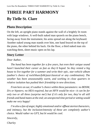# **THREE PART HARMONY By Tielle St. Clare**

#### **Photo Description**

On the left, an upright piano stands against the wall of a brightly lit room with large windows. A well-built naked man sprawls on the piano bench, facing away from the instrument, his arms spread out along the keyboard. Another naked young man stands over him, one hand braced on the top of the piano, the other behind his back. On the floor, a third naked man sits watching them, sheet music open on his lap.

#### **Story Letter**

#### *Dear Author*,

*The band has been together for a few years, but even their unique sound hasn't launched their career as fast as they'd hoped. So they rented a big house to live together for a summer and write their epic, star-vehicle album (author's choice of rock/blues/folk/jazz/classical or any combination). The weather has been unseasonably warm, and working in close quarters in relative isolation has pushed their friendship in new directions.*

*From here on out, it's author's choice within these parameters: no BDSM, D/s or hipsters; no HEA required, but an HFN would be nice—it can be for only two or all three (surprise me!) but if it's only for two, they're all still friends and band mates at the end; an unexpected time period orsetting would make me very happy!*

*I'm also a fan of angst, highly emotional and/or offbeatstories/characters, and intimacy, but the inclusion/intensity of these are completely author's choice. Would rather no GFY, but bi would be cool.*

*Sincerely,*

*Charley*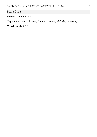## **Story Info**

**Genre:** contemporary

**Tags:** musicians/rock stars, friends to lovers, M/M/M, three-way

**Word count:** 9,297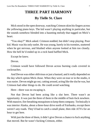## **THREE PART HARMONY By Tielle St. Clare**

Mick stood in the open doorway, watching Crimson skim his fingers across the yellowing piano keys. The kid wasn't playing anything in particular, but the sounds somehow blended into a haunting melody that tugged on Mick's heart.

"You okay?" Mick asked. Crimson nodded, but didn't stop playing. Poor kid. Music was his only outlet. He was young, barely in his twenties, stuttered when he got nervous, and blushed when anyone looked at him too closely. How the hell he'd ended up in a rock band baffled Mick.

Except he knew.

Devon.

Crimson would have followed Devon across burning coals covered in cockroaches.

And Devon was either oblivious or just a bastard, and it really depended on the day which option Mick chose. When they were on tour or in the studio, it was easier. Devon might go out, catting around, acting like the slut he was, but Crimson had other things to do. He could avoid watching.

Here—there was no escaping it.

Not that Devon had been acting like a slut here. There wasn't an opportunity. It was just the three of them in the middle of butt-fuck nowhere. With massive, fire-breathing mosquitoes to keep them company. Technically it was interior Alaska, about a three-hour drive north of Fairbanks, except there weren't any roads. They'd had to catch a small plane, then ride ATVs for an hour to get here.

With just the three of them, it didn't give Devon a chance to fuck anything that moved. But he wasn't fucking Crimson, either.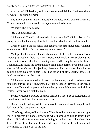And that left Mick—hell, he didn't know where it left him. He knew where he wasn't—fucking Crimson.

The three of them made a miserable triangle. Mick wanted Crimson. Crimson wanted Devon. And Devon just wanted to be a star.

"Where's D?" Mick asked.

"He's taking a shower."

Mick nodded. They'd both needed a chance to cool off. Mick had opted for going outside but the mosquitoes had chased him back in after a few minutes.

Crimson sighed and his hands dropped away from the keyboard. "I hate it when you two fight. It's like listening to my parents."

Mick peeled his arm off the doorframe and strolled into the room. Even knowing it wouldn't help his mental state, Mick couldn't resist placing his hands on Crimson's shoulders, bending down and kissing the top of his head. Thankfully, he found the strength not to lean a little farther over and place a kiss on Crimson's neck, his jawline, his—fuck. This was a bad idea, but he couldn't quite make his fingers let go. The cotton T-shirt was all that separated Mick from Crimson's bare skin.

Mick wasn't sure when this obsession with their keyboardist had started sometime during the last tour, probably when he'd seen Crimson's heart break every time Devon disappeared with another groupie. Male, female. It didn't matter. Devon would fuck them all.

Somehow it fell to Mick to cheer up Crimson. That sense of obligation had turned to lust and then into something more.

Damn, he'd be willing to let Devon have Crimson if it would keep the sad look out of the younger man's eyes.

"That's a good way of looking at it." He rubbed his palms against the tight muscles beneath his hands, imagining what it would be like to touch bare skin—a little slick from the sweat, rubbing his palms across that sleek, hot flesh. "D and I are like an old married couple. Stuck with each other and determined to fight it out to the end."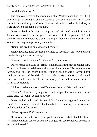"And there's no sex."

The new voice entered the room like a shot. Mick jumped back as if he'd been doing something wrong by touching Crimson. He mentally slapped himself. Devon clearly didn't want Crimson. Mick did. Too bad the kid's eyes were always on the band's front man.

Devon walked to the edge of the piano and grimaced at Mick. It was a familiar version of his I'm-still-pissed-but-we-need-to-let-it-go smile. He'd put on the same pair of shorts he'd been wearing earlier and a dark T-shirt. They weren't dressing to impress anyone out here.

"Damn, we *are* like an old married couple."

Mick chuckled, more because he wanted to accept Devon's olive branch than he thought it was that funny.

Crimson's head came up. "Then you g-guys, n-never…?"

Devon reared back. His lips crinkled in disgust as if the idea appalled him. Crimson's cheeks turned the color that gave him his name. His real name was Arthur, and while he looked like an Arthur or even an Artie, Devon didn't think anyone in a rock band should have such a stuffy name. He'd nicknamed him Crimson because he blushed so easily. After a few token protests, Crimson accepted it.

Mick reached out and smacked Devon on the arm. "We tried once."

"T-tried?" Crimson's eyes got wide and he spun halfway around on the piano bench to look at both men at once.

Devon sighed and rolled his eyes. Mick fought the urge to do the same thing. The memory clearly affected them both the same way—embarrassing and a little bit of frustration.

"What happened?" Crimson asked.

"It was an epic battle to see who got to be on top." Mick shook his head. "When it went from sexy to us actually trying to kill each other, we decided to get drunk instead."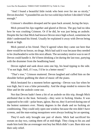"And I found a beautiful little twink who bent over for me so nicely," Devon drawled. "I pounded his ass for two solid days before I decided I'd had enough."

Crimson's shoulders drooped and he spun back around, facing the keys.

Mick pressed his lips together and glared at Devon. The guy had no idea how he was crushing Crimson. Or if he did, he was just being an asshole. Despite the fact that Mick had known Devon since high school, sometimes he didn't understand his friend. Usually he explained it away with Devon being drunk or high.

Mick peered at his friend. They'd agreed when they came out here that there would be no booze, no drugs. Mick had said it was because they needed to be clearheaded to write this next album. The secondary motive wasto see if Devon could handle it. He'd been drinking a lot during the last tour, partying with the drummer from the headlining band.

Devon sighed and sank down onto one hip, his head tipping to the side. "I'm not high. Hell, if I was, I'd be in a better mood."

"That's true," Crimson muttered. Devon laughed and cuffed him on the shoulder before grabbing the sheet of music off the piano.

Mick hesitated for a moment before agreeing—Devon was fun when he was high, but it was a false personality. And the drugs tended to remove the filter and let the asshole come out.

Not that Devon hadn't been a bit of an asshole on this trip, though Mick attributed that to the heat. Seriously—they were in fucking Alaska. It was supposed to be cold—polar bears, igloos. But no, they'd arrived during one of the hottest summers ever. Ninety degrees in the shade and no fucking air conditioning. They could only open one window because the rest didn't have screens, and the man-eating mosquitoes were always looking for an opening.

They'd each only brought one pair of shorts. Mick had sacrificed his sweats on day two, cutting them off at mid-thigh. They clung to his ass and made him look like an overeager rent boy but Mick didn't care. Bare skin was their only relief.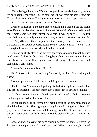"Okay, let's get back to it." Devon dropped down beside the piano, resting his back against the piano leg. His hair was still wet from his shower and his T-shirt clung to his chest. The light-brown shorts he wore stopped just above his knees. "Crimson, man, play us what we've got."

Crimson paused for a moment before placing his hands on the old piano keys. Damn, the piano had been a lucky break. When Mick's uncle had offered the remote cabin for their retreat, he'd said it was primitive. He hadn't specified there was only enough electricity to run the refrigerator and the stove. They'd brought their equipment but had no way to run it. Thank God for the piano. Mick had his acoustic guitar, so they had the basics. They just had to imagine how it would sound amplified and electrified.

Crimson dutifully played the melody, the sounds moving through Mick's head. He could hear his bass line pulsing beneath it. Devon started to hum a line above the music. It was good. Just on the verge of a new sound but something wasn't right.

Crimson's fingers stumbled. "Sorry."

"No." Devon patted Crimson's leg. "It wasn't you. There's something not right."

Sweat dripped down Mick's nose and dropped to the ground.

"Fuck, it's hot," he muttered, pulling his T-shirt away from his skin. The tiny breeze created by the movement sent a brief rush of air and he sighed.

"Yeah, we know." Devon grabbed a pencil and started scribbling notes on the lined paper. "What if you tried this?"

He handed the page to Crimson. Crimson peered at the new notes then he shook his head. "No. That's going to bring the whole thing down. See?" He played what Devon had written, and the energy went flat. Crimson was by far the best musician in their little group. He could practically see the notes in his head.

Crimson started playing, hisfingerstripping acrossthe keys. He played the first section, the part they all agreed was good. When it was done, he started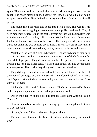again. The sound swirled through the room as Mick dropped down on the couch. The rough material rubbed against his legs, like a wool blanket being wrapped around him. Heat drained his energy and he couldn't make himself get up.

The music filled the room and oozed into Mick's skin. This was it. This was the song that was going to take them to the top. He could feel it. They'd been moderately successful in the past ten years but they'd all agreed this was it. Either they made it, or they called it quits. Mick's father was holding a job for him at the used car sales lot he owned. The thought made his stomach burn, but damn, he was coming up on thirty. So was Devon. If they didn't have a sound the world wanted, maybe they needed to throw in the towel.

Mick hated the idea of giving up but damn it, he wanted enough money to pay his own rent, not have a roommate who took care of the bills when the band didn't get paid. They'd been on tour for the past eight months, the opening act for a big-name band. It hadn't paid much, but had gotten them some exposure. That's why they all agreed… now was the time.

They'd dumped their drummer and lead guitarist and decided the three of them would put together their new sound. The enforced solitude of Mick's uncle's place in the middle of Alaska had given them the time and space. Now they just needed—

Mick sighed. He couldn't think any more. The heat had melted his brain cells. He picked up a music sheet and began to fan himself.

Devon chuckled. "You look like one of those ladies at the Gospel Mission Church."

Crimson smiled and switched gears, taking up the pounding dramatic tones of a gospel song.

"Play it, brother!" Devon shouted, clapping along.

The sound was too much for Mick. It had too much intensity for his hot body.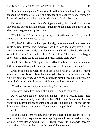"I can't take it anymore." He threw himself off the couch and stood up. He grabbed the bottom of his shirt and dragged it up over his head. Crimson's fingers slowed as he looked over his shoulder at Mick's bare chest.

The weak breeze teased Mick's nipples making them hard. A delicious shiver raced across his skin and he wanted more. He undid the button of his shorts and dragged the zipper down.

"What the fuck?" Devon sat up, his lips tight in the corners. "Are you just going to sit around bare-ass naked?"

"No, I—" As Mick yanked open his fly, he remembered he'd been hot while getting dressed, and underwear had been one too many layers. He'd gone commando. He briefly considered dragging his shorts back up but pride wouldn't let him. That, and the heat. "Guess I am." He shoved the baggy shorts down. They fell to the floor and Mick kicked them away.

"Fuck, that's better." He tipped his head back and spread his arms wide. A little air moved through the one open window and Mick took advantage.

Crimson looked at Mick, then snapped his eyes away as if he wasn't supposed to see. Seconds later, he once again glanced over his shoulder, this time, his gaze lingering. Mick's cock started to swell beneath the other man's perusal. Crimson's cheeks turned bright red, but he continued to stare.

"You don't know what you're missing," Mick teased.

Crimson's lips pulled up in a slight smile. "You do look cool."

Devon plopped the sheet music on his lap. "You're wasting time." The words came out grouchy and irritable but Mick knew Devon, and he was pretty damn sure those pages of music hid a growing hard-on. The spark in his friend's eye showed an interest. The concept stopped Mick's heart for one moment.

He and Devon were friends, and with the exception of that one ill-fated attempt at fucking, they'd never been anything more. It worked well that way. Crimson suited Devon much better. He'd be the sweet little bottom to Devon's big, bad top. Mick just had to get the two of them together.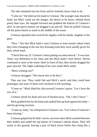The idea slammed into his brain and he instantly knew what to do.

"Come on." He held out his hand to Crimson. The younger man shook his head, but Mick could see the hunger, the desire to be brave, behind those pretty blue eyes. He stepped forward and grabbed the bottom of Crimson's shirt. In one quick motion, he dragged it up and off. Then he pulled Crimson off the piano bench to stand in the middle of the room.

Crimson squealed and covered his nipples with his hands, laughter in his gaze.

"Nice." Not that Mick hadn't seen Crimson at least mostly naked when they were changing in the one tiny dressing room they were usually given for their whole band.

"Check him out, D. Crimson's been putting on some muscle." It was true. There was definition in his chest and abs Mick hadn't seen before. Devon continued to stare at the music sheet in front of him, then slowly dragged his gaze upward. The slight widening of his eyes made Mick smile.

"Been working out?"

Crimson shrugged. "Not much else to do here."

That was true. They could fish and Mick's uncle said they could hunt ptarmigan, but none of them were inclined to kill anything.

"Come on." Mick lifted his chin toward Crimson's groin. "Let's have the rest of it."

Crimson shook his head and sort of backed away. "Oh, I don't know."

Mick grabbed him by the hand and yanked him up hard against his body and his growing erection.

"Come on, baby," he whispered in Crimson's ear. "Let'sshow D what he's been missing."

Crimson gulped but he didn't move, not even when Mick reached between their bodies and undid the top button of Crimson's denim shorts. They fell easily to the ground, leaving a pair of black boxer briefs that clung like a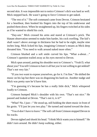second skin. It was impossible not to notice Crimson's dick was hard as well. Mick stepped back. He wasn't going to force Crimson to get naked.

"The rest of it." The soft command came from Devon. Crimson hesitated for a heartbeat, then hooked his fingers into the top of his underwear and pushed them down. When he straightened up, his fingers twitched at his sides as if he wanted to shield his cock.

"Day-um." Mick crossed his arms and stared at Crimson's prick. The blatant observation seemed to make him harder, his cock swelling. The kid's shaft wasn't above average in thickness but he had to be eight, maybe nine inches long. Mick licked his lips, imagining Crimson's moans as Mick deep throated him. "You need to walk around naked more often."

Crimson blushed and a soft smile curved his lips. "What a-about…" Crimson's question trailed away as his eyes moved to Devon.

Mick spun around, putting his shoulder next to Crimson's. "Yeah D, what about you? You tell Crimson to bare it all but you're not willing to get nekkid? That's not very fair."

"If you two want to expose yourselves, go for it. I'm fine." He shifted the music on his lap but there was no disguising his hard-on. Another nudge and Mick was pretty sure he'd have him.

"I'm guessing it's because he has a really little dick," Mick whispered loudly to Crimson.

Crimson bumped Mick's shoulder with his own. "That's not nice." He paused and looked at Devon. "That's not it, is it?"

"What? No. I just—" He stood up, still holding the sheet music in front of his groin. "I'll just let you two play." He turned and started toward the door.

"You d-don't have to leave." The soft call fromCrimson stopped Devon in his tracks.

Devon sighed and shook his head. "I think Mick wants you to himself." He didn't turn around. He didn't keep walking, either.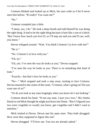Crimson blinked and looked up at Mick, his eyes wide as if he'd never seen him before. "R-really? You want me?"

"No."

Crimson crumpled just a little.

"I mean, yes, I do." He took a deep breath and told himself he was doing the right thing. It had to be the right thing because it hurt like a son of a bitch. "But I know how much you love D, so I'll step out and you and D can, well, you know."

Devon whipped around. "Wait. You think Crimson's in love with me?"

"He is."

"No. Crimson's in love with *you*."

"Uh, no."

"Uh, yes. I've seen the way he looks at you," Devon snapped.

"I've seen the way he looks at you. There is no mistaking that kind of look."

"Exactly—but that's how he looks at you."

"No—" Mick stopped and took a step away, turning to face Crimson. Devon returned to the center of the room. "Crimson, what's going on? Do you want one of us?"

"Or do you look at any man longingly when you know he's not looking."

Crimson shook his head. "N-not any man. J-just you t-two." His cheeks flared so red Mick thought he might just burst into flame. "But I f-figured you two were t-together or would, you know, get t-together and I didn't want to interfere."

Mick looked at Devon. Devon met his open stare. They both shrugged. How were they supposed to figure this out?

Devon shrugged. "I'll bow out. You two are already naked."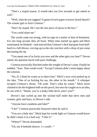"That's a stupid reason. It would take you five seconds to get naked as well."

"Well, what do you suggest? A game of rock-paper-scissors-lizard-Spock? The winner gets to fuck Crimson."

"Don't be stupid. He's not the last piece of pizza in the box."

"You could share me."

The words came out strong, with no sign of a stutter or hint of hesitation. For one long second, they all froze. When time started up again and Mick reanimated, he blinked—and noticed that Crimson's dick had gone from halfhard to a full-blown, curving-up-to-the-sky erection with a drop of pre-come decorating the tip.

"You mean one of us fucks you now and the other gets you later?" Devon asked, his question laced with pure challenge.

Crimson practically flinched under the weight of Devon's stare. Finally he nodded. "Sure. That would work." Except Crimson didn't seem happy about the solution.

"No, D, I think he wants us to *share* him." Mick's own cock perked up at the idea. "One of us fucking his ass, the other in his mouth." A whimper escaped Crimson's throat. "Oh yeah. That's what he wants." Mick never claimed to be the brightest bulb on the porch, but once he caught on to an idea, he ran with it. "Damn, you're a kinky little devil, aren't you?"

Devon's lips curled up into the wicked half smile that drew men and women, girls and boys, to Devon's side.

"Anyone have condoms and lube?"

"I do!" Crimson practically bounced when he said it.

"You *are* a little slut." Mick kept his words light so Crimson would know he didn't mean it in a bad way. "I like it."

"Where?" Devon demanded.

"Uh, my b-bedside drawer. I c-could—"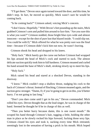"I'll get them." Devon once again turned toward the door, and thistime, he didn't stop. In fact, he moved so quickly, Mick wasn't sure he would be coming back.

"Is he coming back?" Crimson asked, voicing Mick's concern.

"I don't know. Hopefully." With Devon'sfeet pounding up the stairs, Mick grabbed Crimson's arm and pulled him around to face him. "Are you sure this is what you want?" Crimson nodded, those bright blue eyes wide and almost innocent—except for the shot of pure lust that blazed inside. "I could slip out. You could be with D," Mick offered for what he was pretty sure was the final time—because if Crimson didn't kick him out now, he wasn't leaving.

Crimson shook his head and dropped to his knees.

"Holy fuck." Mick barely got the curse out before Crimson had wrapped his lips around the head of Mick's cock and started to suck. The almost delicate suction quickly took himto full hardness.Crimson moaned and curled his hand around the base of Mick's shaft, stroking slowly up to meet his lips.

"Holy fuck."

Mick raised his head and stared at a shocked Devon, standing in the doorway.

"I know." Mick couldn't stop a shallow thrust, nudging his cock to the back of Crimson'sthroat. Instead of flinching, Crimson moaned again, and the suction grew stronger. "Damn, D, if you're going to get in on this, you'd better hurry. I'm not going to last long."

"Don't you dare come until I get in his ass," Devon commanded. Mick rolled his eyes. Devon thought that as the lead singer, he was in charge of the band. Seemed he thought he'd be in charge of this as well.

"Then you better hurry because damn, this is one sweet mouth." He scraped his hand through Crimson's hair, tugging a little, holding the other man in place as he slowly rocked his hips forward, fucking those sexy lips. Crimson closed his eyes and took it, sucking every time Mick retreated, seemingly lost in the sensation of having a prick in his mouth. Mick hoped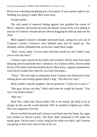Devon was watching and getting just a bit jealous. It was a pretty sight to see. Nothing was going to make Mick look away.

Except maybe…

The soft sound of material sliding against skin grabbed the corner of Mick's attention. He looked up from the intense vision of his cock sliding in and out of Crimson's mouth and saw Devon dragging hisshirt up and over his chest.

Mick tapped Crimson's shoulder and eased back, easing his cock out of Crimson's mouth. Crimson's eyes blinked open and he stared up. The shocked, almost offended look on his face made Mick laugh.

"Don't worry, baby. I'm not done with that mouth yet, but I didn't want you to miss the show."

Crimson spun around on his knees and watched. Devon must have been delaying until he had both men's attention. As Crimson stilled, Devon undid the fly of his shorts and shoved them down. Mick knew, vaguely remembered, what Devon looked like when he was hard, but damn…

"Wow." The soft sigh of admiration from Crimson was followed by him sinking down and resting against Mick's legs. "His dick isn't tiny."

Mick couldn't stop his laughter. Devon grimaced. "I told you it wasn't."

"But guys always say that," Mick said when he caught his breath. "You can't ever believe them."

"Bite me"

Mick felt a little bad. Devon didn't like to be teased. He liked to be in charge, be the one the world admired. Still, he needed to lighten up a little. This was supposed to be fun.

Devon strolled forward and Crimson went back onto his knees, his eager eyes locked on Devon's prick. The thick shaft continued to fill under his steady gaze. Devon wasn't overly long but his shaft was thick, and Crimson was going to feel every inch of that in his ass.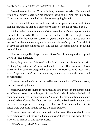From the eager look on Crimson's face, he wasn't worried. He reminded Mick of a puppy, eager for his master's hand to pet him, rub his belly. Crimson's butt even twitched as if he were wagging his tail.

Part of Mick felt left out, and then Crimson tipped his head back, then leaning forward, he lapped a drop of pre-come off the tip of Mick's cock.

Mick watched in amazement as Crimson smiled as if quietly pleased with himself, then turned to Devon. He slid his hand across Devon's thigh. Devon stopped and let the other man caress him, spreading his legs a little to give him access. The shy smile once again formed on Crimson's lips, but Mick didn't believe the innocence in those eyes any longer. The damn kid was seducing both of them.

Crimson wrapped his fingers around Devon's cock, sliding his hand up and down in smooth strokes.

Fuck, they were hot. Crimson's pale-blond hair against Devon's tan skin. That nagging part of Mick's mind told him to bow out. This time it was Devon who drew him back. He dragged his gaze away from Crimson and met Mick's stare. A spark he hadn't seen in Devon's eyes since the two of them had tried to fuck flared.

Crimson leaned in closer and buried his nose at the base of Devon's cock, drawing in a deep breath.

Mick swallowed the lump in his throat and couldn't resist another meeting with Devon's stare. His wide eyes mirrored Mick's shock. Where the hell had their mild-mannered keyboardist gone? Instead, this sexy, confident creature seemed to be seducing themboth. He must have licked or kissed Devon's cock because Devon grunted. He slapped his hand on Mick's shoulder as if his knees were wobbling and he needed the extra support.

Crimson drew back, sitting once again on his heels. The pose should have been submissive, but the wicked smile curving those soft lips made it clear who was in charge of this little scenario.

"What's next, baby?" Mick asked.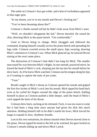The smile on Crimson'sface got wider, and a hint of wickedness appeared in that eager grin.

"In my dream, you're in my mouth and Devon's fucking me."

"You've been dreaming about this?"

Crimson's cheeks turned red but he didn't look away from Mick's stare.

"Well, we shouldn't disappoint the kid," Devon drawled. He raised his chin, directing Mick to the piano bench. "Get comfortable."

Used to Devon being in charge, Mick shrugged and followed the command, draping himself casually across the piano bench and spreading his legs wide. Crimson crawled across the small space, hips swaying, drawing Mick's attention to Crimson's ass. When Mick glanced up, he noticed Devon staring at the exact same place.

The distraction of Crimson's butt didn't last long for Mick. The smaller man eased his way between Mick'sthighs. In one smooth, practiced move, he kissed the head of Mick's cock, slurping just the tip into his mouth before he drew back. As if he knew Mick watched, Crimson ran histongue along his lips as if wanting to capture the taste of pre-come.

#### "Yum."

Breath caught in Mick's throat as Crimson opened his mouth and gulped the first few inches of Mick's cock into his mouth. Mick tipped his head back even as he curled his fingers around the edge of the piano bench, holding himself in place as Crimson pushed a little deeper, until the head of Mick's cock tapped the back of his throat.

Crimson drew back, sucking as he retreated. Fuck, it was too soon to come but it had been a long time since anyone had given his dick this much attention. Holding himself still so he didn't startle his lover, Mick forced his lungs to expand in slow, rhythmic breaths.

Lost in his own sensations, he almost missed when Devon moved close to the piano. Devon tipped his head to the left as he watched, his gaze locked on Crimson's mouth sliding up and down Mick's prick.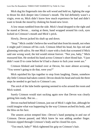Mick dug his fingernails into the soft wood and held on, fighting the urge to thrust his dick deeper into Crimson's mouth. The kid definitely wasn't a virgin, even so, Mick didn't know how much experience he had and didn't want to break the mood by choking his brand-new lover.

A low moan rumbled from the side. Mick's head dropped to the right and he stared at Devon… staring at them, hand wrapped around his cock, eyes locked on Crimson's mouth and Mick's prick.

Slowly, Devon jacked his shaft up and down.

"Stop." Mick couldn't believe the word had shot fromhis mouth, not when it might pull Crimson off his cock. Crimson lifted his head, his lips red and glistening with saliva. He met Mick's stare with a look that screamed if Mick said one wrong word, the kid would retreat forever. "Not you, baby," Mick reassured him. He stroked his hand across Crimson's short blond hair. "I just didn't want D to come before he'd had a chance to fuck your sweet ass."

Crimson blinked and looked over at Devon, his stare almost accusing. "You weren't going to do that, were you?"

Mick squished his lips together to stop from laughing. Damn, somehow shy little Crimson had taken control. Devon shook his head and took the three steps he needed to get back to Crimson's ass.

The *snick* of the lube bottle opening seemed to echo around the room and Mick waited.

Surely Crimson would start sucking again now that Devon was clearly getting him ready. But no…

Devon reached behind Crimson, just out of Mick's sight line, although he could imagine what was happening by the way Crimson arched his body, and the bliss on his face.

The unseen action tempted him—Devon's hand pumping in and out of Crimson. Devon paused, and Mick knew he was adding another finger. Tension zipped through Crimson's body and he closed his eyes.

"Too much, baby?" Mick tightened his grip on Crimson's hair.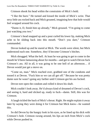Crimson shook his head within the constraints of Mick's hold.

"I like the burn." He turned and kissed the inside of Mick's wrist. That sexy little ass rocked back and Mick groaned, imagining how that hole would feel wrapped around his cock.

"Damn it, D, finish him up already," Mick groused. "I'm going to come just watching you two."

Crimson's head snapped up and a pout curled his lower lip, making Mick ache to be sliding back into this mouth. "Don't you dare," Crimson commanded.

Devon looked up and he stared at Mick. The words were silent, but Mick understood each one. Somehow, they'd become Crimson's bitches.

Mick shrugged. What the hell. At least he was going to get to come in the mouth he'd been fantasizing about for months—and get to watch Devon fuck Crimson's ass. All in all, it was going to be one hell of an afternoon… if Devon would just get a move on.

"Come on, man." Mick reached over, grabbed one of the condoms and tossed it at Devon. "Fuck him so we can all get off." Because he was pretty damn sure he wasn't going any farther until Crimson got his ass fucked.

Devon tore open the condom and rolled it down his shaft.

Mick couldn't look away. He'd always kind of dreamed of Devon's cock, and seeing it, hard and slicked up, ready to fuck—damn. Still, this was for Crimson.

A laugh tickled the back of Mick'sthroat. Right. He might explain it away later by saying they were doing it for Crimson but Mick knew—he wanted this.

So did Devon by the hungry look in his eyes, as he lined up his dick with Crimson's hole. Crimson swung around, his lips an inch from Mick's cock while Devon pushed in.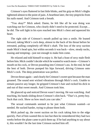Crimson's eyes fluttered in fast little blinks, and his grip on Mick's thighs tightened almost to the point of pain. A heartbeat later, the tiny pinpricks from his nails eased. And Crimson took a breath.

"You okay?" Mick asked. Damn, he felt like all he was doing was watching out for Crimson, who clearly didn't need to be protected. Except... he did. The soft light in his eyes reached into Mick's chest and squeezed his heart.

The right side of Crimson's mouth pulled up into a smile. He leaned forward, taking Mick's cock deep, almost to the back of his throat before he retreated, pulling completely off Mick's shaft. The loss of the sexy suction made Mick's head spin, but within seconds it was back—slow, steady sucks, teasing and tempting—just not enough to make him come.

He relaxed and told himself to enjoy it. He had a feast of sexy male flesh before him. Mick couldn't decide which he wanted to watch more—Crimson's mouth on his cock, or Devon pounding into Crimson's ass. In the end, he had the best of both. Devon pumped his hips forward, driving Crimson onto Mick's cock. The deep penetration was perfect.

Devon thrust again—and clearly hit Crimson's sweet spot because the man groaned. The sound sent wicked vibrations through Mick's cock. Unable to remain passive any longer, he gripped Crimson's hair and rocked his dick in and out of that sweet mouth. And Crimson took him.

He glanced up and noticed Devon wasn't moving. He was watching. And touching, his hands sliding down Crimson's slim back. "That's it, pretty boy. Suck that cock. Show us how much you can take."

The sexual commands seemed to be just what Crimson wanted—or needed. He sucked harder, trying to please them both.

Mick pulsed up, the sweet suction on his cock taking him to the edge quickly. Part of him wanted this to last but then he remembered they had two weeks before the plane came to pick them up. If he had anything to say about it, this wouldn't be the last time Crimson sucked him off.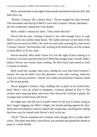Mick concentrated on the sight of that mouth stretched around his dick. His balls drew up.

"Harder, Crimson. He's almost there." Devon nudged his hips forward. The movement sent the tip of Mick's cock into Crimson's throat, and damn... the kid swallowed, taking him even deeper.

Mick couldn't contain his shout. "Once more like that."

Devon did his part, fucking Crimson's ass with enough force to urge Mick's cock into another deep thrust. The subtle pressure on the head of his shaft was too much for Mick. He cried out and came, pouring his come down Crimson's throat. The kid took it all, sucking as he eased back, as if he wanted to drain Mick of all his come.

Devon moaned. Mick didn't know if it was the sight of him coming or if Crimson's ass had clenched when he'd filled the younger man's mouth. Didn't matter. Devon was clearly done waiting. He drew back and started to fuck Crimson in earnest.

Mick eased the younger man away, letting his cock slip from Crimson's mouth. Not that he didn't love the attention—even after coming, when his cock was a bit too sensitive—but he was a little worried about Crimson'steeth as Devon got going.

Devon gripped Crimson's hips, holding him in place as he fucked him, hard. Mick's own ass ached in sympathy. Crimson seemed to love it. The strokes were long and deep, and every time Devon hit Crimson's gland, the younger man would moan and shiver.

He might have felt left out if it hadn't been for the way Crimson clung to him, fingers digging into Mick's thighs, hot breath panting against his skin. Mick did everything he could to support the young man, touching him, telling him how sexy he looked with Devon's dick in his ass.

"Fuck!" Devon slammed into Crimson with enough force to make Mick wince. The other man didn't even flinch, just moaned and opened his mouth to gasp in a harsh breath.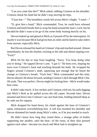"Can you come like this?" Mick asked, rubbing Crimson on his shoulder. Crimson shook his head but he didn't stop moving his hips.

"Close but—" The breathless words fell across Mick's thighs. "I need—"

"D, give him a hand," Mick commanded. True, he could have released Crimson and knelt beside him to wrap his hand around the man's cock, but he decided he didn't want to let go of the sweet body leaning heavily on his.

Devon looked up and glared at Mick as if pissed off by the interruption. Or maybe it was because Mick had given him an order and he hated to take orders from anyone, especially Mick.

But Devon released his hand on Crimson's hip and reached around. Almost immediately, he lost the rhythm, twisting to the side and almost tipping over. "Fuck!"

Mick bit his lips to stop from laughing. "Sorry. You keep doing what you're doing." He tapped Devon's arm. "I got it." He bent over, draping his torso over Crimson's back and reaching beneath his body. He wrapped his fingers around Crimson's shaft, squeezing just enough that he heard the change in Crimson's breath. "Fuck him," Mick commanded and this time, Devon obeyed. He thrust forward, sending Crimson's dick through Mick's fist. Oh yeah. That was perfect. Devon might be fucking him—Mick would make him come.

It didn't take much. A few strokes and Crimson cried out, his nails digging into Mick's flesh as he spilled across the old carpet. Seconds later, Devon moaned and drove into Crimson's ass one final time, holding himself deep as he rode out his orgasm.

Mick dropped his head down, his cheek against the base of Crimson's spine, exhaustion overwhelming him. A soft kiss brushed his shoulder and Devon skimmed his hands along Mick's sides, as if he just needed to touch.

He didn't know how long they rested there, a strange pillar of bodies supporting one another, until the heat—of the room, of their skin pressed against each other—became too much and Mick had to straighten up.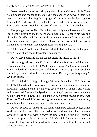Devon eased his hips back, slipping his cock from Crimson's hole. They both groaned and sagged to the side as if the connection between them had been the only thing keeping them upright. Crimson leaned his head against Mick's thigh and closed his eyes, his lips open and chest billowing in short, fast breaths. Devon leaned in and pressed a kiss on Crimson's shoulder.

The younger man smiled. He looked practically angelic—except for the red, slightly puffy lips and the scent of sex in the air. He opened his eyes and slipped his hand behind Devon's neck, drawing him forward. Mick watched from his perch on the piano bench. Devon seemed to hesitate for just a moment, then leaned in, meeting Crimson's waiting mouth.

Mick couldn't look away. The sexual sight before him made his prick struggle to get hard again. It wouldn't take much.

Devon eased back and ran his tongue along the inside of his lips.

"He tastes good, doesn't he?" Crimson asked and Mick realized they were talking about him—the taste of Mick's come lingering in Crimson's mouth. Devon nodded and placed another quick kiss on Crimson's lips before pushing himself up to stand and walked out of the room. "Did I say something wrong?" Crimson asked.

"No." Mick slid his fingers through Crimson's blond hair. "He's fine." At least Mick hoped so. Crimson would be crushed if Devon rejected him now. And Mick realized he didn't want to go back to the way things were. No, he and Devon hadn't—technically—fucked, but they'd gotten closer than they had in years. Who knows? Mick thought. *Maybe I'm mature enough now to let D top me.* The idea didn't seem as frightening as it had almost a decade ago, when they'd both been trying to prove who was more manly.

Devon strolled back into the living room, still naked, condom gone, a damp washcloth in his hand. He crouched down and ran the cloth between Crimson's ass cheeks, wiping away the traces of their fucking. Crimson blushed and pressed his cheek against Mick's thigh. Devon tossed the rag toward the doorway and dropped to the floor. He picked up the music and draped it across his lap.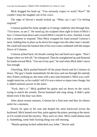Mick dragged his head up. "You seriously expect to work? Now?" He couldn't keep the laughter out of his voice.

The edge of Devon's mouth kicked up. "What can I say? I'm feeling inspired."

Crimson pushed his body upright as if energy suddenly shot through him. "You know, so am I." He stood up, his sculpted chest right in front of Mick's face. Crimson bent down and covered Mick's mouth in a kiss. Startled, it took him a moment to respond. Then Mick wrapped his hand around Crimson's neck, holding him in place as he drove his tongue into the other man's mouth. He could still taste the faintest hint of his own come combined with the unique flavor of Crimson.

Crimson jerked back, his breath coming fast and hard once again. "Don't forget where we left off," he whispered. Then he straightened up and fluttered his hands toward Mick. "Get out of my spot," he said when Mick didn't move fast enough.

Chuckling, Mick pushed himself off the piano bench and let Crimson sit down. The guy's hands immediately hit the keys and ran through the melody they'd been working on, this time with a new tone beneath it. Mick was a selftaught musician, so he couldn't tell if it was a minor or major tone change, but it added ominous power to the notes.

"Fuck, that's it." Mick grabbed his guitar and sat down on the couch, trying to match the sounds. Devon hummed and sung along. It didn't quite blend even if the base was there.

After about twenty minutes, Crimson hit a final note and they let silence settle for a moment.

Slowly he spun in his seat and draped his arms backward across the keyboard. Mick leaned over him, palm against the piano, peering at the music as if it would reveal the mystery. They were so close. Mick could almost taste it. Something, some little fucking thing was still missing.

"Maybe getting fucked unblocked you, babe," Devon said.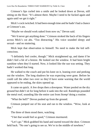Crimson's lips curled into a smile and he looked down at Devon, still sitting on the floor. "It's almost there. Maybe I need to be fucked again and again until we get it right."

Mick's cock twitched. It had been enough time and he hadn't had a chance at Crimson's ass.

"Maybe we should work naked from now on," Devon said.

"We'd never get anything done." Crimson stroked the back of his fingers across Mick's cut abs. "Too distracting." His voice sounded sleepy and sexual—and no stuttering.

Mick kept that observation to himself. No need to make the kid selfconscious.

"I definitely feel cooler, though." Mick straightened up, and damn if he didn't feel a bit of a breeze. He looked out the window. It had been bright sunshine when they'd started. Now, it looked like the sun was setting. They hadn't worked that long.

He walked to the couch and put his knee on it, leaning over and peeking out the window. The long shadows he was expecting were gone. Before he could call the other two over so they'd have some warning that the world appeared to be ending, the skies opened up.

It came on quick. A few drops then a downpour. Water pooled on the dry ground but didn't sit for long before it sank into the soil. Raindrops pounded the metal roof, sounding like the entire cast from *Stomp!* doing a routine.

"What the hell?" Devon pushed up from the ground.

Crimson jumped out of his seat and ran to the window. "Wow, look at that."

The three of them stood there, watching.

"I bet that would feel so good," Crimson murmured.

"Let's go." Mick grabbed his hand and started toward the door. Crimson held back. "No one's going to see us. We're in the middle of nowhere."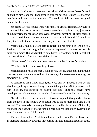As if he didn't want to leave anyone behind, Crimson took Devon's hand and pulled him along too. They stepped onto the porch. Mick hesitated for one heartbeat and then ran into the yard. The cold rain fell in sheets, so good against his hot skin.

Moments later his friends were with him. The dirt yard immediately turned to mud and they danced around. It wasn't graceful or rhythmic, they just leapt about, savoring the sensation of movement without sweating. The rain seemed to have scared the mosquitoes away for a brief period. He didn't know how long it would last, and he wanted to enjoy every moment of it.

Mick spun around, his foot getting caught on his other heel and he fell. Instinct took over and he grabbed whatever happened to be near to stop his earthly plummet. His hands latched onto Devon's shoulders and they both hit the ground. Mud splattered around their backs.

"What the—" Devon's shout was drowned out by Crimson's laughter.

"Woohoo! Naked mud wrestling! I love it!"

Mick raised his head and met Devon's eyes. The laughter pouring through that sexy green stare reminded him of when they first started—the energy, the electricity in Devon.

A dangerous glint filled those green eyes and he grabbed Mick by the shoulders, pulling him close. Every dominant thought that Mick possessed told him to resist, but instincts he hadn't expected—ones that might have developed as he'd gotten just a little bit older—wouldn't let him move away.

"Let the kid have what he wants," Devon whispered, though Mick knew from the look in his friend's eyes that it was so much more than that. Mick nodded. That seemed to be enough. Devon wrapped his leg around Mick's hip, pulling them close, their groins rubbing hard against each other. Every pulse was like a new jolt to Mick's cock.

The world shifted and Mick found himself on his back, Devon above him. In their late teens/early twenties they'd tried this and almost killed each other.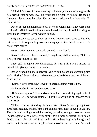Mick didn't know if it was maturity or love or just the desire to give his best friend what he wanted… but Mick had no fight left in him. He took a breath and let his muscles relax. The mud squished around his bare skin. He didn't care.

Devon pushed up, sliding his cock between Mick's legs. They were both hard again. Mick licked his lips and swallowed, bracing himself, knowing he would take whatever Devon wanted to give.

Bright green eyes stared down at him as Devon's body covered his. The rain was relentless, pounding down, creating a protective bubble around their break from reality.

For one brief moment, the world seemed to stand still.

Devon hesitated... then he moved, diving down, his lips meeting Mick's in a hot, opened-mouthed kiss.

They still struggled for dominance. It wasn't in Mick's nature to completely give up control, but damn…

Devon slipped his knees between Mick's and pushed up, spreading him wide. The hard thick cock that had so recently fucked Crimson's ass slid cross Mick's groin.

"Damn, you're amazing," Devon whispered against Mick's lips.

Mick drew back. "What about Crimson?"

"He's amazing too." Devon kissed him, hard cock sliding against hard cock. "I just…" The words trailed off but the steady pulse of Devon's cock didn't stop.

Mick couldn't resist sliding his hands down Devon's ass, cupping those firm hard mounds, pulling him tight against him. They moved in unison, Devon's hand curling around their cocks, providing enough pressure as they rocked against each other. Every stroke sent a new delicious jolt through Mick's cock—the rain and Devon's hot kisses blending in as background noise—until he cried out, spilling his come across Devon's stomach. The burst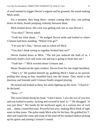of seed seemed to trigger Devon's orgasm and he groaned, the sound making Mick smile.

For a moment, they hung there—semen coating their skin, rain pelting down on them, breath pumping violently between them.

Mick looked down. His cock was getting soft, but so was Devon's.

"You okay?" Devon asked.

"Yeah but what about…" He nudged Devon aside and looked to where Crimson had been standing. "Where'd he go?"

"I'm sure he's fine," Devon said as rolled off Mick.

"You don't think seeing us together freaked him out?"

Devon looked down at Mick. "The kid just seduced the both of us. I seriously doubt a kiss and some rub and tug is going to freak him out."

"Yeah but—" Mick worried about Crimson and…

Music floated out the open window. Devon froze for one single heartbeat.

"That's it." He pushed himself up, grabbing Mick's hand as he moved, pulling him along as they stumbled back into the house. They stood in the doorway and listened until Crimson finally stopped playing.

He turned and looked at them, his smile lighting up the room. "I fixed it," he declared.

"How—?"

The sweet blond shook his head. "I don't know. I saw the two of you kiss and you looked so pretty, fucking and covered in mud. It—" He shrugged. "It was just there." His hands hit the keyboard again, in a curious mix of rock and… damn, countrified soul. Powerful but sexy, making Mick think of tight asses in blue jeans. The pulse made Mick ache for his bass. He grabbed his Tshirt and wiped the come and some of the mud off his stomach before picking up his guitar and joining Crimson's sound.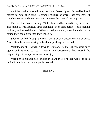As if the rain had washed away the strain, Devon tipped his head back and started to hum, then sing—a strange mixture of words that somehow fit together, strong and clear, weaving between the notes Crimson played.

The bass line floated through Mick's head and he started to tap out a beat. Beneath it all was a sensual throb that hadn't been there before... as if fucking had truly unblocked them all. When it finally blended, when it melded into a sound they couldn't forget, they ended it.

Silence swirled through the room but it wasn't uncomfortable or eerie. More like a breath—drawing in fresh air, pushing out the bad.

Mick looked at Devon then down to Crimson. The kid's cheeks were once again pink turning to red. It wasn't embarrassment that caused the brightening—it was pleasure and sheer joy.

Mick tipped his head back and laughed. All they'd needed was a little sex and a little rain to create the perfect sound.

#### **THE END**